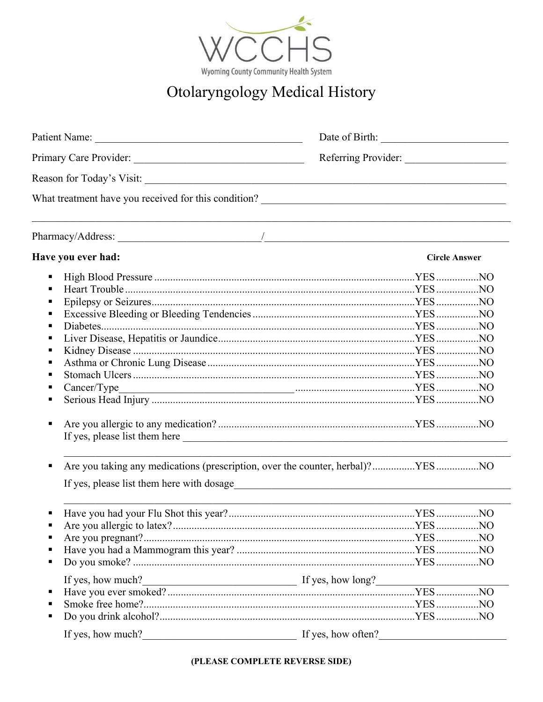

## Otolaryngology Medical History

|                    | Referring Provider:                                                                                             |
|--------------------|-----------------------------------------------------------------------------------------------------------------|
|                    |                                                                                                                 |
|                    |                                                                                                                 |
|                    |                                                                                                                 |
| Have you ever had: | <b>Circle Answer</b>                                                                                            |
| п                  |                                                                                                                 |
|                    |                                                                                                                 |
| п                  |                                                                                                                 |
| Е                  |                                                                                                                 |
| п                  |                                                                                                                 |
|                    |                                                                                                                 |
| г                  |                                                                                                                 |
| Е                  |                                                                                                                 |
|                    |                                                                                                                 |
|                    |                                                                                                                 |
|                    |                                                                                                                 |
| ٠                  |                                                                                                                 |
| п                  | Are you taking any medications (prescription, over the counter, herbal)?YESNO                                   |
|                    |                                                                                                                 |
|                    |                                                                                                                 |
|                    |                                                                                                                 |
|                    |                                                                                                                 |
|                    |                                                                                                                 |
|                    |                                                                                                                 |
| If yes, how much?  | $\frac{1}{\sqrt{1-\frac{1}{2}}\sqrt{1-\frac{1}{2}}\sqrt{1-\frac{1}{2}}\sqrt{1-\frac{1}{2}}}}$ If yes, how long? |
|                    |                                                                                                                 |
|                    |                                                                                                                 |
|                    |                                                                                                                 |
| If yes, how much?  | If yes, how often?                                                                                              |